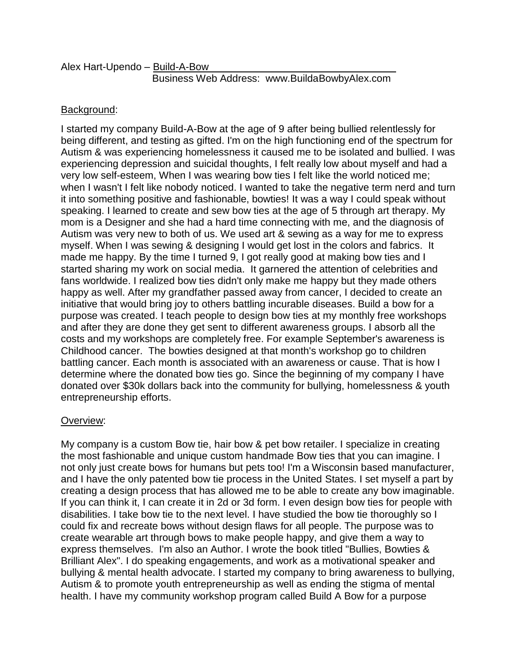## Background:

I started my company Build-A-Bow at the age of 9 after being bullied relentlessly for being different, and testing as gifted. I'm on the high functioning end of the spectrum for Autism & was experiencing homelessness it caused me to be isolated and bullied. I was experiencing depression and suicidal thoughts, I felt really low about myself and had a very low self-esteem, When I was wearing bow ties I felt like the world noticed me; when I wasn't I felt like nobody noticed. I wanted to take the negative term nerd and turn it into something positive and fashionable, bowties! It was a way I could speak without speaking. I learned to create and sew bow ties at the age of 5 through art therapy. My mom is a Designer and she had a hard time connecting with me, and the diagnosis of Autism was very new to both of us. We used art & sewing as a way for me to express myself. When I was sewing & designing I would get lost in the colors and fabrics. It made me happy. By the time I turned 9, I got really good at making bow ties and I started sharing my work on social media. It garnered the attention of celebrities and fans worldwide. I realized bow ties didn't only make me happy but they made others happy as well. After my grandfather passed away from cancer, I decided to create an initiative that would bring joy to others battling incurable diseases. Build a bow for a purpose was created. I teach people to design bow ties at my monthly free workshops and after they are done they get sent to different awareness groups. I absorb all the costs and my workshops are completely free. For example September's awareness is Childhood cancer. The bowties designed at that month's workshop go to children battling cancer. Each month is associated with an awareness or cause. That is how I determine where the donated bow ties go. Since the beginning of my company I have donated over \$30k dollars back into the community for bullying, homelessness & youth entrepreneurship efforts.

## Overview:

My company is a custom Bow tie, hair bow & pet bow retailer. I specialize in creating the most fashionable and unique custom handmade Bow ties that you can imagine. I not only just create bows for humans but pets too! I'm a Wisconsin based manufacturer, and I have the only patented bow tie process in the United States. I set myself a part by creating a design process that has allowed me to be able to create any bow imaginable. If you can think it, I can create it in 2d or 3d form. I even design bow ties for people with disabilities. I take bow tie to the next level. I have studied the bow tie thoroughly so I could fix and recreate bows without design flaws for all people. The purpose was to create wearable art through bows to make people happy, and give them a way to express themselves. I'm also an Author. I wrote the book titled "Bullies, Bowties & Brilliant Alex". I do speaking engagements, and work as a motivational speaker and bullying & mental health advocate. I started my company to bring awareness to bullying, Autism & to promote youth entrepreneurship as well as ending the stigma of mental health. I have my community workshop program called Build A Bow for a purpose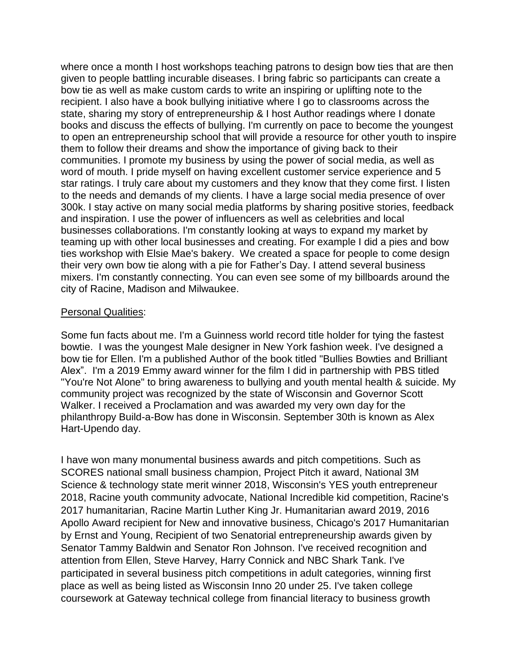where once a month I host workshops teaching patrons to design bow ties that are then given to people battling incurable diseases. I bring fabric so participants can create a bow tie as well as make custom cards to write an inspiring or uplifting note to the recipient. I also have a book bullying initiative where I go to classrooms across the state, sharing my story of entrepreneurship & I host Author readings where I donate books and discuss the effects of bullying. I'm currently on pace to become the youngest to open an entrepreneurship school that will provide a resource for other youth to inspire them to follow their dreams and show the importance of giving back to their communities. I promote my business by using the power of social media, as well as word of mouth. I pride myself on having excellent customer service experience and 5 star ratings. I truly care about my customers and they know that they come first. I listen to the needs and demands of my clients. I have a large social media presence of over 300k. I stay active on many social media platforms by sharing positive stories, feedback and inspiration. I use the power of influencers as well as celebrities and local businesses collaborations. I'm constantly looking at ways to expand my market by teaming up with other local businesses and creating. For example I did a pies and bow ties workshop with Elsie Mae's bakery. We created a space for people to come design their very own bow tie along with a pie for Father's Day. I attend several business mixers. I'm constantly connecting. You can even see some of my billboards around the city of Racine, Madison and Milwaukee.

## Personal Qualities:

Some fun facts about me. I'm a Guinness world record title holder for tying the fastest bowtie. I was the youngest Male designer in New York fashion week. I've designed a bow tie for Ellen. I'm a published Author of the book titled "Bullies Bowties and Brilliant Alex". I'm a 2019 Emmy award winner for the film I did in partnership with PBS titled "You're Not Alone" to bring awareness to bullying and youth mental health & suicide. My community project was recognized by the state of Wisconsin and Governor Scott Walker. I received a Proclamation and was awarded my very own day for the philanthropy Build-a-Bow has done in Wisconsin. September 30th is known as Alex Hart-Upendo day.

I have won many monumental business awards and pitch competitions. Such as SCORES national small business champion, Project Pitch it award, National 3M Science & technology state merit winner 2018, Wisconsin's YES youth entrepreneur 2018, Racine youth community advocate, National Incredible kid competition, Racine's 2017 humanitarian, Racine Martin Luther King Jr. Humanitarian award 2019, 2016 Apollo Award recipient for New and innovative business, Chicago's 2017 Humanitarian by Ernst and Young, Recipient of two Senatorial entrepreneurship awards given by Senator Tammy Baldwin and Senator Ron Johnson. I've received recognition and attention from Ellen, Steve Harvey, Harry Connick and NBC Shark Tank. I've participated in several business pitch competitions in adult categories, winning first place as well as being listed as Wisconsin Inno 20 under 25. I've taken college coursework at Gateway technical college from financial literacy to business growth